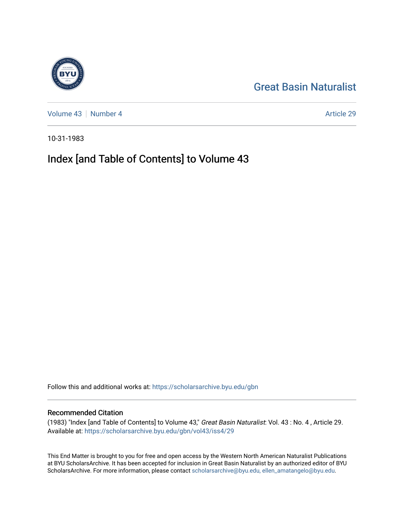[Great Basin Naturalist](https://scholarsarchive.byu.edu/gbn) 

[Volume 43](https://scholarsarchive.byu.edu/gbn/vol43) | [Number 4](https://scholarsarchive.byu.edu/gbn/vol43/iss4) Article 29

10-31-1983

# Index [and Table of Contents] to Volume 43

Follow this and additional works at: [https://scholarsarchive.byu.edu/gbn](https://scholarsarchive.byu.edu/gbn?utm_source=scholarsarchive.byu.edu%2Fgbn%2Fvol43%2Fiss4%2F29&utm_medium=PDF&utm_campaign=PDFCoverPages) 

### Recommended Citation

(1983) "Index [and Table of Contents] to Volume 43," Great Basin Naturalist: Vol. 43 : No. 4 , Article 29. Available at: [https://scholarsarchive.byu.edu/gbn/vol43/iss4/29](https://scholarsarchive.byu.edu/gbn/vol43/iss4/29?utm_source=scholarsarchive.byu.edu%2Fgbn%2Fvol43%2Fiss4%2F29&utm_medium=PDF&utm_campaign=PDFCoverPages) 

This End Matter is brought to you for free and open access by the Western North American Naturalist Publications at BYU ScholarsArchive. It has been accepted for inclusion in Great Basin Naturalist by an authorized editor of BYU ScholarsArchive. For more information, please contact [scholarsarchive@byu.edu, ellen\\_amatangelo@byu.edu.](mailto:scholarsarchive@byu.edu,%20ellen_amatangelo@byu.edu)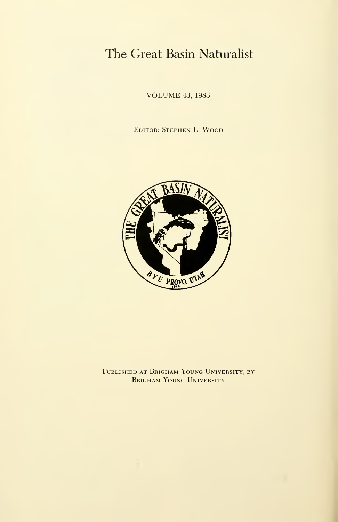# The Great Basin Naturalist

VOLUME 43, <sup>1983</sup>

Editor: Stephen L. Wood



Published at Brigham Young University, by BRIGHAM YOUNG UNIVERSITY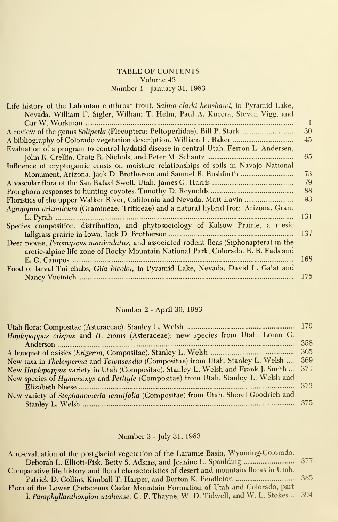#### TABLE OF CONTENTS Volume 43 Number <sup>1</sup> - January 31, 1983

| Life history of the Lahontan cutthroat trout, Salmo clarki henshawi, in Pyramid Lake,   |  |
|-----------------------------------------------------------------------------------------|--|
| Nevada. William F. Sigler, William T. Helm, Paul A. Kucera, Steven Vigg, and            |  |
|                                                                                         |  |
| A review of the genus Soliperla (Plecoptera: Peltoperlidae). Bill P. Stark<br>30        |  |
| A bibliography of Colorado vegetation description. William L. Baker<br>45               |  |
| Evaluation of a program to control hydatid disease in central Utah. Ferron L. Andersen, |  |
| 65                                                                                      |  |
| Influence of cryptogamic crusts on moisture relationships of soils in Navajo National   |  |
| 73                                                                                      |  |
| 79                                                                                      |  |
| 88                                                                                      |  |
| Floristics of the upper Walker River, California and Nevada. Matt Lavin<br>93           |  |
| Agropyron arizonicum (Gramineae: Triticeae) and a natural hybrid from Arizona. Grant    |  |
| -131                                                                                    |  |
| Species composition, distribution, and phytosociology of Kalsow Prairie, a mesic        |  |
| -137                                                                                    |  |
| Deer mouse, Peromyscus maniculatus, and associated rodent fleas (Siphonaptera) in the   |  |
| arctic-alpine life zone of Rocky Mountain National Park, Colorado. R. B. Eads and       |  |
| 168                                                                                     |  |
| Food of larval Tui chubs, Gila bicolor, in Pyramid Lake, Nevada. David L. Galat and     |  |
| 175                                                                                     |  |

# Number 2 - April 30, 1983

| Haplopappus crispus and H. zionis (Asteraceae): new species from Utah. Loran C.        |     |
|----------------------------------------------------------------------------------------|-----|
|                                                                                        | 358 |
|                                                                                        |     |
| New taxa in Thelesperma and Townsendia (Compositae) from Utah. Stanley L. Welsh  369   |     |
| New Haplopappus variety in Utah (Compositae). Stanley L. Welsh and Frank J. Smith  371 |     |
| New species of Hymenoxys and Perityle (Compositae) from Utah. Stanley L. Welsh and     |     |
|                                                                                        |     |
| New variety of Stephanomeria tenuifolia (Compositae) from Utah. Sherel Goodrich and    |     |
|                                                                                        |     |

## Number 3 - July 31, 1983

| A re-evaluation of the postglacial vegetation of the Laramie Basin, Wyoming-Colorado.      |  |
|--------------------------------------------------------------------------------------------|--|
| Deborah L. Elliott-Fisk, Betty S. Adkins, and Jeanine L. Spaulding  377                    |  |
| Comparative life history and floral characteristics of desert and mountain floras in Utah. |  |
|                                                                                            |  |
| Flora of the Lower Cretaceous Cedar Mountain Formation of Utah and Colorado, part          |  |
| I. Paraphyllanthoxylon utahense. G. F. Thayne, W. D. Tidwell, and W. L. Stokes  394        |  |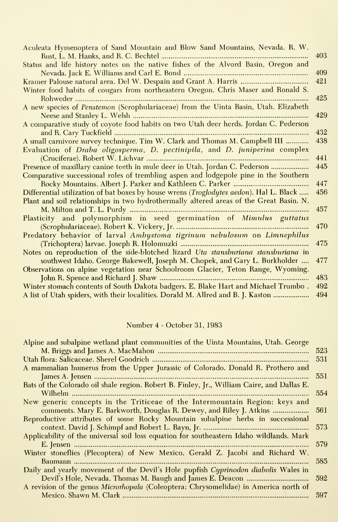| Aculeata Hymenoptera of Sand Mountain and Blow Sand Mountains, Nevada. R. W.            | 403 |
|-----------------------------------------------------------------------------------------|-----|
| Status and life history notes on the native fishes of the Alvord Basin, Oregon and      | 409 |
|                                                                                         | 421 |
|                                                                                         |     |
| Winter food habits of cougars from northeastern Oregon. Chris Maser and Ronald S.       |     |
|                                                                                         | 425 |
| A new species of Penstemon (Scrophulariaceae) from the Uinta Basin, Utah. Elizabeth     |     |
|                                                                                         | 429 |
| A comparative study of coyote food habits on two Utah deer herds. Jordan C. Pederson    | 432 |
| A small carnivore survey technique. Tim W. Clark and Thomas M. Campbell III             | 438 |
| Evaluation of Draba oligosperma, D. pectinipila, and D. juniperina complex              |     |
|                                                                                         | 441 |
| Presence of maxillary canine teeth in mule deer in Utah. Jordan C. Pederson             | 445 |
|                                                                                         |     |
| Comparative successional roles of trembling aspen and lodgepole pine in the Southern    |     |
|                                                                                         | 447 |
| Differential utilization of bat boxes by house wrens (Troglodytes aedon). Hal L. Black  | 456 |
| Plant and soil relationships in two hydrothermally altered areas of the Great Basin. N. |     |
|                                                                                         | 457 |
| Plasticity and polymorphism in seed germination of Mimulus guttatus                     |     |
|                                                                                         | 470 |
| Predatory behavior of larval Ambystoma tigrinum nebulosum on Limnephilus                |     |
|                                                                                         | 475 |
| Notes on reproduction of the side-blotched lizard Uta stansburiana stansburiana in      |     |
| southwest Idaho. George Bakewell, Joseph M. Chopek, and Gary L. Burkholder              | 477 |
| Observations on alpine vegetation near Schoolroom Glacier, Teton Range, Wyoming.        |     |
|                                                                                         | 483 |
| Winter stomach contents of South Dakota badgers. E. Blake Hart and Michael Trumbo.      | 492 |
| A list of Utah spiders, with their localities. Dorald M. Allred and B. J. Kaston        | 494 |
|                                                                                         |     |

## Number 4 - October 31, 1983

| Alpine and subalpine wetland plant communities of the Uinta Mountains, Utah. George        |     |
|--------------------------------------------------------------------------------------------|-----|
|                                                                                            | 523 |
|                                                                                            | 531 |
| A mammalian humerus from the Upper Jurassic of Colorado. Donald R. Prothero and            |     |
|                                                                                            | 551 |
| Bats of the Colorado oil shale region. Robert B. Finley, Jr., William Caire, and Dallas E. |     |
|                                                                                            | 554 |
| New generic concepts in the Triticeae of the Intermountain Region: keys and                |     |
| comments. Mary E. Barkworth, Douglas R. Dewey, and Riley J. Atkins                         | 561 |
| Reproductive attributes of some Rocky Mountain subalpine herbs in successional             |     |
|                                                                                            | 573 |
| Applicability of the universal soil loss equation for southeastern Idaho wildlands. Mark   |     |
|                                                                                            | 579 |
| Winter stoneflies (Plecoptera) of New Mexico. Gerald Z. Jacobi and Richard W.              |     |
|                                                                                            | 585 |
| Daily and yearly movement of the Devil's Hole pupfish Cyprinodon diabolis Wales in         |     |
|                                                                                            | 592 |
| A revision of the genus Microrhopala (Coleoptera: Chrysomelidae) in America north of       |     |
|                                                                                            | 597 |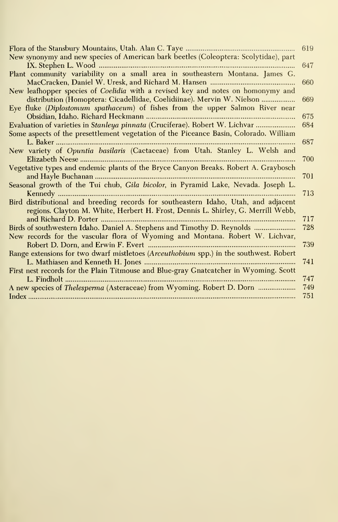|                                                                                        | 619 |
|----------------------------------------------------------------------------------------|-----|
| New synonymy and new species of American bark beetles (Coleoptera: Scolytidae), part   |     |
|                                                                                        | 647 |
| Plant community variability on a small area in southeastern Montana. James G.          |     |
|                                                                                        | 660 |
| New leafhopper species of Coelidia with a revised key and notes on homonymy and        |     |
| distribution (Homoptera: Cicadellidae, Coelidiinae). Mervin W. Nielson                 | 669 |
| Eye fluke (Diplostomum spathaceum) of fishes from the upper Salmon River near          |     |
|                                                                                        | 675 |
| Evaluation of varieties in Stanleya pinnata (Cruciferae). Robert W. Lichvar            | 684 |
| Some aspects of the presettlement vegetation of the Piceance Basin, Colorado. William  |     |
|                                                                                        | 687 |
| New variety of Opuntia basilaris (Cactaceae) from Utah. Stanley L. Welsh and           |     |
|                                                                                        | 700 |
| Vegetative types and endemic plants of the Bryce Canyon Breaks. Robert A. Graybosch    |     |
|                                                                                        | 701 |
| Seasonal growth of the Tui chub, Gila bicolor, in Pyramid Lake, Nevada. Joseph L.      |     |
|                                                                                        | 713 |
| Bird distributional and breeding records for southeastern Idaho, Utah, and adjacent    |     |
| regions. Clayton M. White, Herbert H. Frost, Dennis L. Shirley, G. Merrill Webb,       |     |
|                                                                                        | 717 |
| Birds of southwestern Idaho. Daniel A. Stephens and Timothy D. Reynolds                | 728 |
| New records for the vascular flora of Wyoming and Montana. Robert W. Lichvar,          |     |
|                                                                                        | 739 |
| Range extensions for two dwarf mistletoes (Arceuthobium spp.) in the southwest. Robert |     |
|                                                                                        | 741 |
| First nest records for the Plain Titmouse and Blue-gray Gnatcatcher in Wyoming. Scott  |     |
|                                                                                        | 747 |
| A new species of Thelesperma (Asteraceae) from Wyoming. Robert D. Dorn                 | 749 |
|                                                                                        | 751 |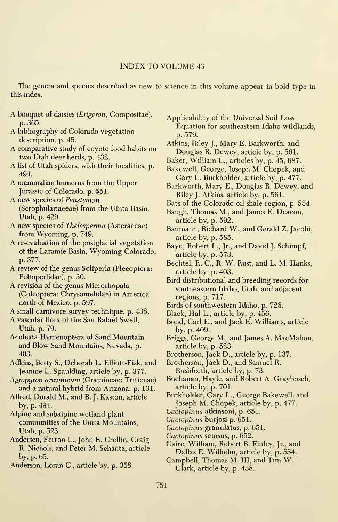#### INDEX TO VOLUME <sup>43</sup>

The genera and species described as new to science in this volume appear in bold type in this index.

- A bouquet of daisies {Erigeron, Compositae), p. 365.
- A bibliography of Colorado vegetation description, p. 45.
- A comparative study of coyote food habits on two Utah deer herds, p. 432.
- A list of Utah spiders, with their localities, p. 494.
- A mammalian humerus from the Upper Jurassic of Colorado, p. 551.
- A new species of Penstemon (Scrophulariaceae) from the Uinta Basin, Utah, p. 429.
- A new species of Thelesperma (Asteraceae) from Wyoming, p. 749.
- A re-evaluation of the postglacial vegetation of the Laramie Basin, Wyoming-Colorado, p. 377.
- A review of the genus Soliperla (Plecoptera: Peltoperlidae), p. 30.
- A revision of the genus Microrhopala (Coleoptera: Chrysomelidae) in America north of Mexico, p. 597.
- A small carnivore survey technique, p. 438.
- A vascular flora of the San Rafael Swell, Utah, p. 79.
- Aculeata Hymenoptera of Sand Mountain and Blow Sand Mountains, Nevada, p. 403.
- Adkins, Betty S., Deborah L. EUiott-Fisk, and Jeanine L. Spaulding, article by, p. 377.
- Agropyron arizonicum (Gramineae: Triticeae) and a natural hybrid from Arizona, p. 13L
- Allred, Dorald M., and B. J. Kaston, article by, p. 494.
- Alpine and subalpine wetland plant communities of the Uinta Mountains, Utah, p. 523.
- Andersen, Perron L., John R. Crellin, Craig R. Nichols, and Peter M. Schantz, article by, p. 65.
- Anderson, Loran C, article by, p. 358.

Applicability of the Universal Soil Loss Equation for southeastern Idaho wildlands, p. 579.

- Atkins, Riley J., Mary E. Barkworth, and Douglas R. Dewey, article by, p. 561.
- Baker, William L., articles by, p. 45, 687.
- Bakewell, George, Joseph M. Chopek, and Gary L. Burkholder, article by, p. 477.
- Barkworth, Mary E., Douglas R. Dewey, and Riley J. Atkins, article by, p. 56L
- Bats of the Colorado oil shale region, p. 554.
- Baugh, Thomas M., and James E. Deacon, article by, p. 592.
- Baumann, Richard W., and Gerald Z. Jacobi, article by, p. 585.
- Bayn, Robert L., Jr., and David J. Schimpf, article by, p. 573.
- Bechtel, R. C, R. W. Rust, and L. M. Hanks, article by, p. 403.
- Bird distributional and breeding records for southeastern Idaho, Utah, and adjacent regions, p. 717.
- Birds of southwestern Idaho, p. 728.
- Black, Hal L., article by, p. 456.
- Bond, Carl E., and Jack E. Williams, article by, p. 409.
- Briggs, George M., and James A. MacMahon, article by, p. 523.
- Brotherson, Jack D., article by, p. 137.

Brotherson, Jack D., and Samuel R. Rushforth, article by, p. 73.

- Buchanan, Hayle, and Robert A. Graybosch, article by, p. 701.
- Burkholder, Gary L., George Bakewell, and Joseph M. Chopek, article by, p. 477.
- Cactopinus atkinsoni, p. 651.
- Cactopinus burjosi p. 651.
- Cactopinus granulatus, p. 651.
- Cactopinus setosus, p. 652.
- Caire, William, Robert B. Finley, Jr., and Dallas E. Wilhelm, article by, p. 554.
- Campbell, Thomas M. Ill, and Tim W. Clark, article by, p. 438.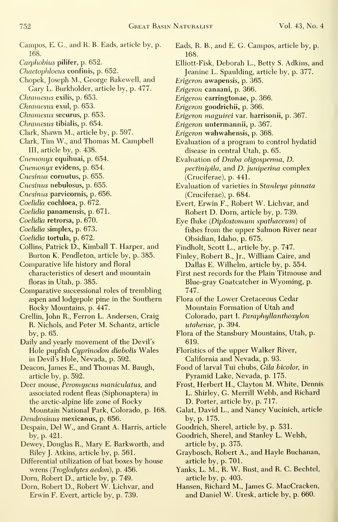- Campos, E. G., and R. B. Eads, article by, p. 168.
- Carphobius pilifer, p. 652.
- Chaetophloeus confinis, p. 652.
- Chopek, Joseph M., George Bakewell, and Gary L. Burkholder, article by, p. 477.
- Chramesus exilis, p. 653.
- Chramesus exul, p. 653.
- Chramesus securus, p. 653.
- Chramesus tibialis, p. 654.
- Clark, Shawn M., article by, p. 597.
- Clark, Tim W., and Thomas M. Campbell III, article by, p. 438.
- Cnemonyx equihuai, p. 654.
- Cnemonyx evidens, p. 654.
- Cnesinus cornutus, p. 655.
- Cnesinus nebulosus, p. 655.
- Cnesinus parvicornis, p. 656.
- Coelidia cochloea, p. 672.
- Coelidia panamensis, p. 671.
- Coelidia retrorsa, p. 670.
- Coelidia simplex, p. 673.
- Coelidia tortula, p. 672.
- Collins, Patrick D., Kimball T. Harper, and Burton K. Pendleton, article by, p. 385.
- Comparative life history and floral characteristics of desert and mountain floras in Utah, p. 385.
- Comparative successional roles of trembling aspen and lodgepole pine in the Southern Rocky Mountains, p. 447.
- Crellin, John R., Ferron L. Andersen, Craig R. Nichols, and Peter M. Schantz, article by, p. 65.
- Daily and yearly movement of the Devil's Hole pupfish Cyprinodon diabolis Wales in Devil's Hole, Nevada, p. 592.
- Deacon, James E., and Thomas M. Baugh, article by, p. 592.
- Deer mouse, Peromyscus maniculatus, and associated rodent fleas (Siphonaptera) in the arctic-alpine life zone of Rocky Mountain National Park, Colorado, p. 168.
- Dendrosinus mexicanus, p. 656.
- Despain, Del W., and Grant A. Harris, article by, p. 421.
- Dewey, Douglas R., Mary E. Barkworth, and Riley J. Atkins, article by, p. 561.
- Differential utilization of bat boxes by house wrens {Troglodytes aedon), p. 456.
- Dom, Robert D., article by, p. 749.
- Dom, Robert D., Robert W. Lichvar, and Erwin F. Evert, article by, p. 739.
- Eads, R. B., and E. G. Campos, article by, p. 168.
- Elliott-Fisk, Deborah L., Betty S. Adkins, and Jeanine L. Spaulding, article by, p. 377.
- Erigeron awapensis, p. 365.
- Erigeron canaani, p. 366.
- Erigeron carringtonae, p. 366.
- Erigeron goodrichii, p. 366.
- Erigeron maguirei var. harrisonii, p. 367.
- Erigeron untermannii, p. 367.
- Erigeron wahwahensis, p. 368.
- Evaluation of a program to control hydatid disease in central Utah, p. 65.
- Evaluation of Draba oligosperma, D. pectinipila, and D. juniperina complex (Cruciferae), p. 441.
- Evaluation of varieties in Stanleya pinnata (Cruciferae), p. 684.
- Evert, Erwin F., Robert W. Lichvar, and Robert D. Dorn, article by, p. 739.
- Eye fluke {Diplostomum spathaceum) of fishes from the upper Salmon River near Obsidian, Idaho, p. 675.
- Findholt, Scott L., article by, p. 747.
- Finley, Robert B., Jr., William Caire, and Dallas E. Wilhelm, article by, p. 554.
- First nest records for the Plain Titmouse and Blue-gray Gnatcatcher in Wyoming, p. 747.
- Flora of the Lower Cretaceous Cedar Mountain Formation of Utah and Colorado, part I. Paraphyllanthoxylon utahense, p. 394.
- Flora of the Stansbury Mountains, Utah, p. 619.
- Floristics of the upper Walker River, California and Nevada, p. 93.

Food of larval Tui chubs, Gila bicolor, in Pyramid Lake, Nevada, p. 175.

- Frost, Herbert H., Clayton M. White, Dennis L. Shirley, G. Merrill Webb, and Richard D. Porter, article by, p. 717.
- Galat, David L., and Nancy Vucinich, article by, p. 175.
- Goodrich, Sherel, article by, p. 531.
- Goodrich, Sherel, and Stanley L. Welsh, article by, p. 375.
- Graybosch, Robert A., and Hayle Buchanan, article by, p. 701.
- Yanks, L. M., R. W. Rust, and R. C. Bechtel, article by, p. 403.
- Hansen, Richard M., James G. MacCracken, and Daniel W. Uresk, article by, p. 660.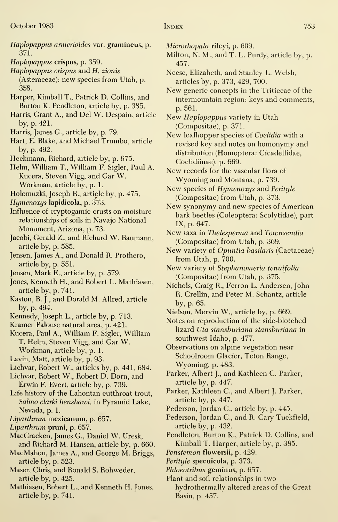- Haplopappus armerioides var. gramineus, p. 371.
- Haplopappus crispus, p. 359.
- Haplopappus crispus and H. zionis (Asteraceae): new species from Utah, p.
- 358.
- Harper, Kimball T., Patrick D. Collins, and Burton K. Pendleton, article by, p. 385.
- Harris, Grant A., and Del W. Despain, article by, p. 421.
- Harris, James G., article by, p. 79.
- Hart, E. Blake, and Michael Trumbo, article by, p. 492.
- Heckmann, Richard, article by, p. 675.
- Helm, William T., William F. Sigler, Paul A. Kucera, Steven Vigg, and Gar W. Workman, article by, p. 1.
- Holomuzki, Joseph R., article by, p. 475.
- Hymenoxys lapidicola, p. 373.
- Influence of cryptogamic crusts on moisture relationships of soils in Navajo National Monument, Arizona, p. 73.
- Jacobi, Gerald Z., and Richard W. Baumann, article by, p. 585.
- Jensen, James A., and Donald R. Prothero, article by, p. 551.
- Jensen, Mark E., article by, p. 579.
- Jones, Kenneth H., and Robert L. Mathiasen, article by, p. 741.
- Kaston, B. J., and Dorald M. Allred, article by, p. 494.
- Kennedy, Joseph L., article by, p. 713.
- Kramer Palouse natural area, p. 421.
- Kucera, Paul A., William F. Sigler, William T. Helm, Steven Vigg, and Gar W.
	- Workman, article by, p. 1.
- Lavin, Matt, article by, p. 93.
- Lichvar, Robert W., articles by, p. 441, 684.
- Lichvar, Robert W., Robert D. Dom, and Erwin F. Evert, article by, p. 739.
- Life history of the Lahontan cutthroat trout, Salmo clarki henshawi, in Pyramid Lake, Nevada, p. 1.
- Liparthrum mexicanum, p. 657.
- Liparthrum pruni, p. 657.
- MacCracken, James G., Daniel W. Uresk, and Richard M. Hansen, article by, p. 660.
- MacMahon, James A., and George M. Briggs, article by, p. 523.
- Maser, Chris, and Ronald S. Rohweder, article by, p. 425.
- Mathiasen, Robert L., and Kenneth H. Jones, article by, p. 741.
- Microrhopala rileyi, p. 609.
- Milton, N. M., and T. L. Purdy, article by, p. 457.
- Neese, Elizabeth, and Stanley L. Welsh, articles by, p. 373, 429, 700.
- New generic concepts in the Triticeae of the intermountain region: keys and comments, p. 561.
- New Haplopappus variety in Utah (Compositae), p. 371.
- New leafhopper species of Coelidia with a revised key and notes on homonymy and distribution (Homoptera: Cicadellidae, Coelidiinae), p. 669.
- New records for the vascular flora of Wyoming and Montana, p. 739.
- New species of Hymenoxys and Perityle (Compositae) from Utah, p. 373.
- New synonymy and new species of American bark beetles (Coleoptera: Scolytidae), part IX, p. 647.
- New taxa in Thelesperma and Townsendia (Compositae) from Utah, p. 369.
- New variety of Opuntia basilaris (Cactaceae) from Utah, p. 700.
- New variety of Stephanomeria tenuifolia (Compositae) from Utah, p. 375.
- Nichols, Craig R., Ferron L. Andersen, John R. Crellin, and Peter M. Schantz, article by, p. 65.
- Nielson, Mervin W., article by, p. 669.
- Notes on reproduction of the side-blotched lizard Uta stansburiana stansburiana in southwest Idaho, p. 477.
- Observations on alpine vegetation near Schoolroom Glacier, Teton Range, Wyoming, p. 483.
- Parker, Albert J., and Kathleen C. Parker, article by, p. 447.
- Parker, Kathleen C, and Albert J. Parker, article by, p. 447.
- Pederson, Jordan C, article by, p. 445.
- Pederson, Jordan C, and R. Gary Tuckfield, article by, p. 432.
- Pendleton, Burton K., Patrick D. Collins, and Kimball T. Harper, article by, p. 385.
- Penstemon flowersii, p. 429.
- Perityle specuicola, p. 373.
- Phloeotribus geminus, p. 657.
- Plant and soil relationships in two hydrothermally altered areas of the Great Basin, p. 457.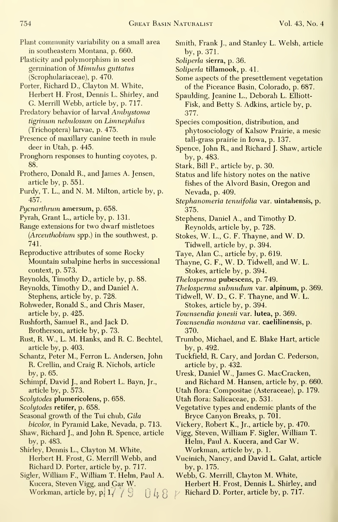- Plant community variability on a small area in southeastern Montana, p. 660.
- Plasticity and polymorphism in seed germination of Mimulus guttatus (Scrophulariaceae), p. 470.
- Porter, Richard D., Clayton M. White, Herbert H. Frost, Dennis L. Shirley, and G. Merrill Webb, article by, p. 717.
- Predatory behavior of larval Ambystoma tigrinum nebulosum on Limnephilus (Trichoptera) larvae, p. 475.
- Presence of maxillary canine teeth in mule deer in Utah, p. 445.
- Pronghom responses to hunting coyotes, p. 88.
- Prothero, Donald R., and James A. Jensen, article by, p. 551.
- Purdy, T. L., and N. M. Milton, article by, p. 457.
- Pycnarthrum amersum, p. 658.
- Pyrah, Grant L., article by, p. 131.
- Range extensions for two dwarf mistletoes (Arceuthobium spp.) in the southwest, p. 741.
- Reproductive attributes of some Rocky Mountain subalpine herbs in successional context, p. 573.
- Reynolds, Timothy D., article by, p. 88.
- Reynolds, Timothy D., and Daniel A. Stephens, article by, p. 728.
- Rohweder, Ronald S., and Chris Maser, article by, p. 425.
- Rushforth, Samuel R., and Jack D. Brotherson, article by, p. 73.
- Rust, R. W., L. M. Hanks, and R. C. Bechtel, article by, p. 403.
- Schantz, Peter M., Ferron L. Andersen, John R. Crellin, and Craig R. Nichols, article by, p. 65.
- Schimpf, David J., and Robert L. Bayn, Jr., article by, p. 573.
- Scolytodes plumericolens, p. 658.
- Scolytodes retifer, p. 658.
- Seasonal growth of the Tui chub, Gila
- bicolor, in Pyramid Lake, Nevada, p. 713. Shaw, Richard J., and John R. Spence, article by, p. 483.
- Shirley, Dennis L., Clayton M. White, Herbert H. Frost, G. Merrill Webb, and Richard D. Porter, article by, p. 717.
- Sigler, William F., William T. Helm, Paul A. Kucera, Steven Vigg, and Gar W. Workman, article by,  $p \mid 1 / /$  $J^{\prime}$   $\cup$   $\uparrow$   $\uparrow$
- Smith, Frank J., and Stanley L. Welsh, article by, p. 371.
- Soliperla sierra, p. 36.
- Soliperla tillamook, p. 41.
- Some aspects of the presettlement vegetation of the Piceance Basin, Colorado, p. 687.
- Spaulding, Jeanine L., Deborah L. Elliott- Fisk, and Betty S. Adkins, article by, p. 377.
- Species composition, distribution, and phytosociology of Kalsow Prairie, a mesic tall-grass prairie in Iowa, p. 137.
- Spence, John R., and Richard J. Shaw, article by, p. 483.
- Stark, Bill P., article by, p. 30.
- Status and life history notes on the native fishes of the Alvord Basin, Oregon and Nevada, p. 409.
- Stephanomeria tenuifolia var. uintahensis, p. 375.
- Stephens, Daniel A., and Timothy D. Reynolds, article by, p. 728.
- Stokes, W. L., G. F. Thayne, and W. D. Tidwell, article by, p. 394.
- Taye, Alan C, article by, p. 619.
- Thayne, G. F., W. D. Tidwell, and W. L. Stokes, article by, p. 394.
- Thelosperma pubescens, p. 749.
- Thelosperma subnudum var. alpinum, p. 369.
- Tidwell, W. D., G. F. Thayne, and W. L. Stokes, article by, p. 394.
- Townsendia jonesii var. lutea, p. 369.
- Townsendia montana var. caelilinensis, p. 370.
- Trumbo, Michael, and E. Blake Hart, article by, p. 492.
- Tuckfield, R. Gary, and Jordan C. Pederson, article by, p. 432.
- Uresk, Daniel W., James G. MacCracken, and Richard M. Hansen, article by, p. 660.
- Utah flora: Compositae (Asteraceae), p. 179.
- Utah flora: Salicaceae, p. 531.
- Vegetative types and endemic plants of the Bryce Canyon Breaks, p. 701.
- Vickery, Robert K., Jr., article by, p. 470.
- Vigg, Steven, William F. Sigler, William T. Helm, Paul A. Kucera, and Gar W. Workman, article by, p. 1.
- Vucinich, Nancy, and David L. Galat, article by, p. 175.
- Webb, G. Merrill, Clayton M. White,

Herbert H. Frost, Dennis L. Shirley, and

Richard D. Porter, article by, p. 717.